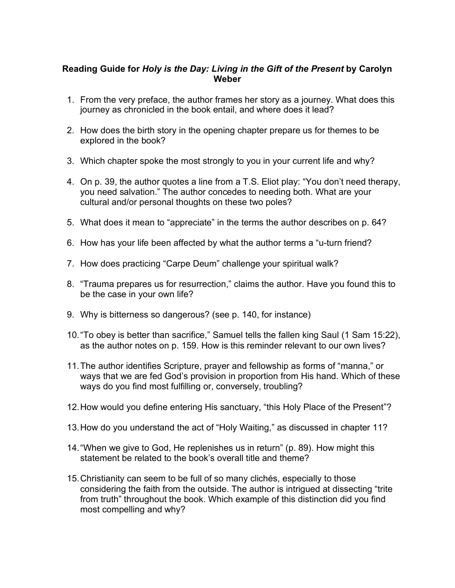## **Reading Guide for** *Holy is the Day: Living in the Gift of the Present* **by Carolyn Weber**

- 1. From the very preface, the author frames her story as a journey. What does this journey as chronicled in the book entail, and where does it lead?
- 2. How does the birth story in the opening chapter prepare us for themes to be explored in the book?
- 3. Which chapter spoke the most strongly to you in your current life and why?
- 4. On p. 39, the author quotes a line from a T.S. Eliot play: "You don't need therapy, you need salvation." The author concedes to needing both. What are your cultural and/or personal thoughts on these two poles?
- 5. What does it mean to "appreciate" in the terms the author describes on p. 64?
- 6. How has your life been affected by what the author terms a "u-turn friend?
- 7. How does practicing "Carpe Deum" challenge your spiritual walk?
- 8. "Trauma prepares us for resurrection," claims the author. Have you found this to be the case in your own life?
- 9. Why is bitterness so dangerous? (see p. 140, for instance)
- 10."To obey is better than sacrifice," Samuel tells the fallen king Saul (1 Sam 15:22), as the author notes on p. 159. How is this reminder relevant to our own lives?
- 11.The author identifies Scripture, prayer and fellowship as forms of "manna," or ways that we are fed God's provision in proportion from His hand. Which of these ways do you find most fulfilling or, conversely, troubling?
- 12.How would you define entering His sanctuary, "this Holy Place of the Present"?
- 13.How do you understand the act of "Holy Waiting," as discussed in chapter 11?
- 14."When we give to God, He replenishes us in return" (p. 89). How might this statement be related to the book's overall title and theme?
- 15.Christianity can seem to be full of so many clichés, especially to those considering the faith from the outside. The author is intrigued at dissecting "trite from truth" throughout the book. Which example of this distinction did you find most compelling and why?